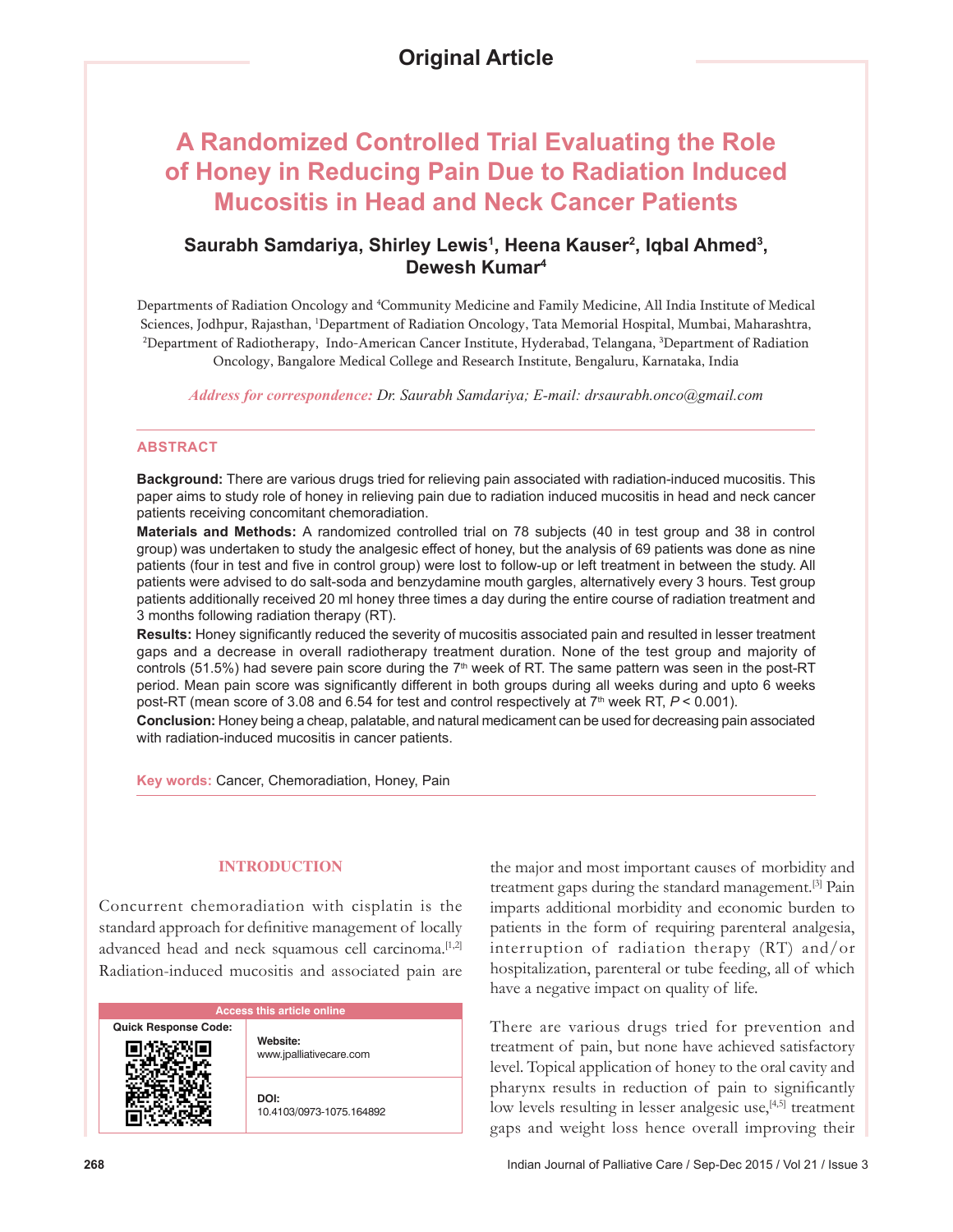# **A Randomized Controlled Trial Evaluating the Role of Honey in Reducing Pain Due to Radiation Induced Mucositis in Head and Neck Cancer Patients**

## **Saurabh Samdariya, Shirley Lewis1 , Heena Kauser2 , Iqbal Ahmed3 , Dewesh Kumar4**

Departments of Radiation Oncology and 4 Community Medicine and Family Medicine, All India Institute of Medical Sciences, Jodhpur, Rajasthan, 1 Department of Radiation Oncology, Tata Memorial Hospital, Mumbai, Maharashtra, <sup>2</sup>Department of Radiotherapy, Indo-American Cancer Institute, Hyderabad, Telangana, <sup>3</sup>Department of Radiation Oncology, Bangalore Medical College and Research Institute, Bengaluru, Karnataka, India

*Address for correspondence: Dr. Saurabh Samdariya; E-mail: drsaurabh.onco@gmail.com*

### **ABSTRACT**

**Background:** There are various drugs tried for relieving pain associated with radiation-induced mucositis. This paper aims to study role of honey in relieving pain due to radiation induced mucositis in head and neck cancer patients receiving concomitant chemoradiation.

**Materials and Methods:** A randomized controlled trial on 78 subjects (40 in test group and 38 in control group) was undertaken to study the analgesic effect of honey, but the analysis of 69 patients was done as nine patients (four in test and five in control group) were lost to follow‑up or left treatment in between the study. All patients were advised to do salt-soda and benzydamine mouth gargles, alternatively every 3 hours. Test group patients additionally received 20 ml honey three times a day during the entire course of radiation treatment and 3 months following radiation therapy (RT).

**Results:** Honey significantly reduced the severity of mucositis associated pain and resulted in lesser treatment gaps and a decrease in overall radiotherapy treatment duration. None of the test group and majority of controls (51.5%) had severe pain score during the 7<sup>th</sup> week of RT. The same pattern was seen in the post-RT period. Mean pain score was significantly different in both groups during all weeks during and upto 6 weeks post-RT (mean score of 3.08 and 6.54 for test and control respectively at 7th week RT, *P* < 0.001).

**Conclusion:** Honey being a cheap, palatable, and natural medicament can be used for decreasing pain associated with radiation-induced mucositis in cancer patients.

**Key words:** Cancer, Chemoradiation, Honey, Pain

## **INTRODUCTION**

Concurrent chemoradiation with cisplatin is the standard approach for definitive management of locally advanced head and neck squamous cell carcinoma.<sup>[1,2]</sup> Radiation‑induced mucositis and associated pain are

| <b>Access this article online</b> |                                     |  |  |  |
|-----------------------------------|-------------------------------------|--|--|--|
| <b>Quick Response Code:</b>       | Website:<br>www.jpalliativecare.com |  |  |  |
|                                   | DOI:<br>10.4103/0973-1075.164892    |  |  |  |

the major and most important causes of morbidity and treatment gaps during the standard management.[3] Pain imparts additional morbidity and economic burden to patients in the form of requiring parenteral analgesia, interruption of radiation therapy (RT) and/or hospitalization, parenteral or tube feeding, all of which have a negative impact on quality of life.

There are various drugs tried for prevention and treatment of pain, but none have achieved satisfactory level. Topical application of honey to the oral cavity and pharynx results in reduction of pain to significantly low levels resulting in lesser analgesic use,<sup>[4,5]</sup> treatment gaps and weight loss hence overall improving their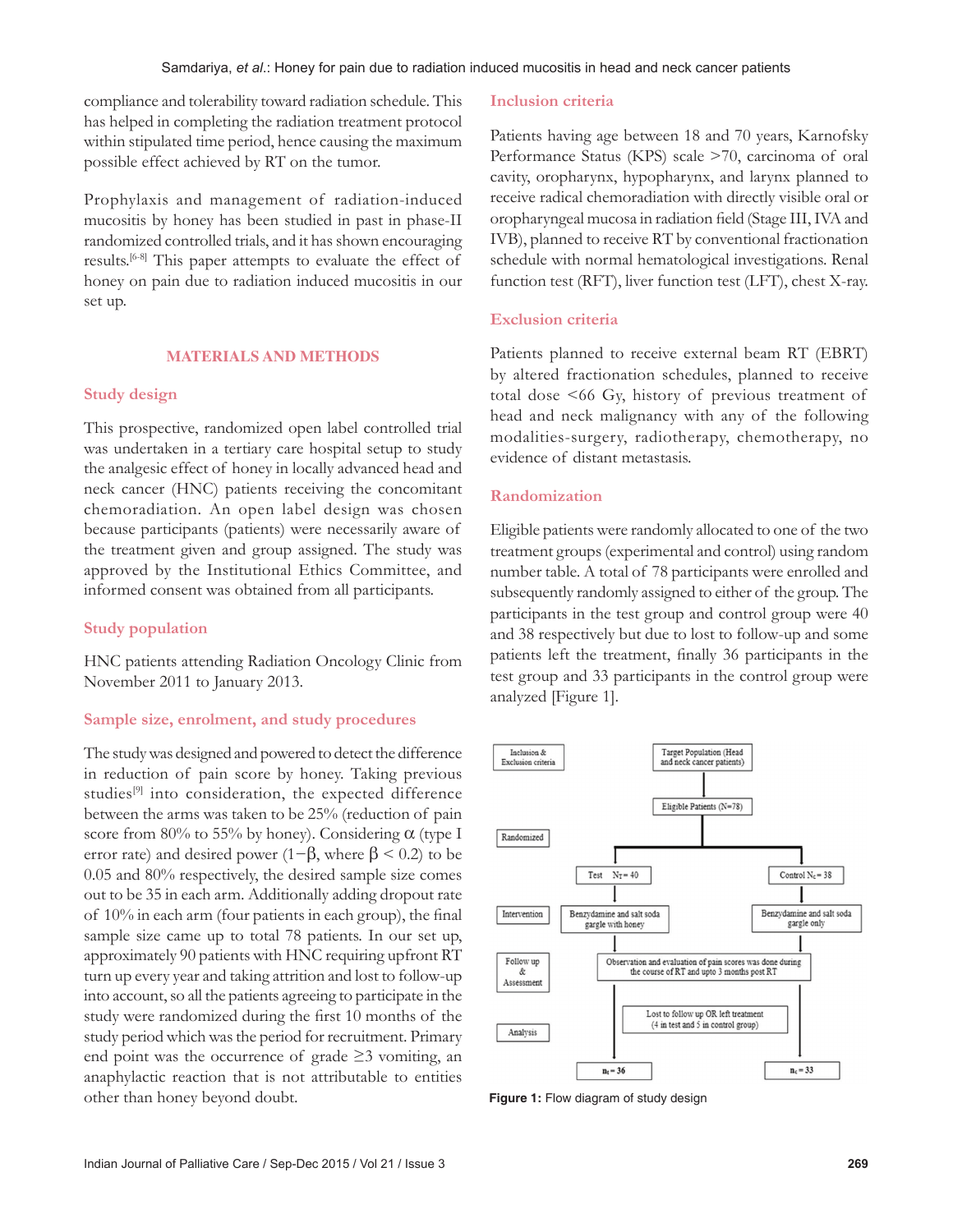compliance and tolerability toward radiation schedule. This has helped in completing the radiation treatment protocol within stipulated time period, hence causing the maximum possible effect achieved by RT on the tumor.

Prophylaxis and management of radiation‑induced mucositis by honey has been studied in past in phase‑II randomized controlled trials, and it has shown encouraging results.[6‑8] This paper attempts to evaluate the effect of honey on pain due to radiation induced mucositis in our set up.

## **MATERIALS AND METHODS**

## **Study design**

This prospective, randomized open label controlled trial was undertaken in a tertiary care hospital setup to study the analgesic effect of honey in locally advanced head and neck cancer (HNC) patients receiving the concomitant chemoradiation. An open label design was chosen because participants (patients) were necessarily aware of the treatment given and group assigned. The study was approved by the Institutional Ethics Committee, and informed consent was obtained from all participants.

## **Study population**

HNC patients attending Radiation Oncology Clinic from November 2011 to January 2013.

## **Sample size, enrolment, and study procedures**

The study was designed and powered to detect the difference in reduction of pain score by honey. Taking previous studies<sup>[9]</sup> into consideration, the expected difference between the arms was taken to be 25% (reduction of pain score from 80% to 55% by honey). Considering  $\alpha$  (type I error rate) and desired power (1− $\beta$ , where  $\beta$  < 0.2) to be 0.05 and 80% respectively, the desired sample size comes out to be 35 in each arm. Additionally adding dropout rate of 10% in each arm (four patients in each group), the final sample size came up to total 78 patients. In our set up, approximately 90 patients with HNC requiring upfront RT turn up every year and taking attrition and lost to follow‑up into account, so all the patients agreeing to participate in the study were randomized during the first 10 months of the study period which was the period for recruitment. Primary end point was the occurrence of grade  $\geq$ 3 vomiting, an anaphylactic reaction that is not attributable to entities other than honey beyond doubt.

## **Inclusion criteria**

Patients having age between 18 and 70 years, Karnofsky Performance Status (KPS) scale >70, carcinoma of oral cavity, oropharynx, hypopharynx, and larynx planned to receive radical chemoradiation with directly visible oral or oropharyngeal mucosa in radiation field (Stage III, IVA and IVB), planned to receive RT by conventional fractionation schedule with normal hematological investigations. Renal function test (RFT), liver function test (LFT), chest X-ray.

## **Exclusion criteria**

Patients planned to receive external beam RT (EBRT) by altered fractionation schedules, planned to receive total dose <66 Gy, history of previous treatment of head and neck malignancy with any of the following modalities‑surgery, radiotherapy, chemotherapy, no evidence of distant metastasis.

## **Randomization**

Eligible patients were randomly allocated to one of the two treatment groups(experimental and control) using random number table. A total of 78 participants were enrolled and subsequently randomly assigned to either of the group. The participants in the test group and control group were 40 and 38 respectively but due to lost to follow‑up and some patients left the treatment, finally 36 participants in the test group and 33 participants in the control group were analyzed [Figure 1].



**Figure 1:** Flow diagram of study design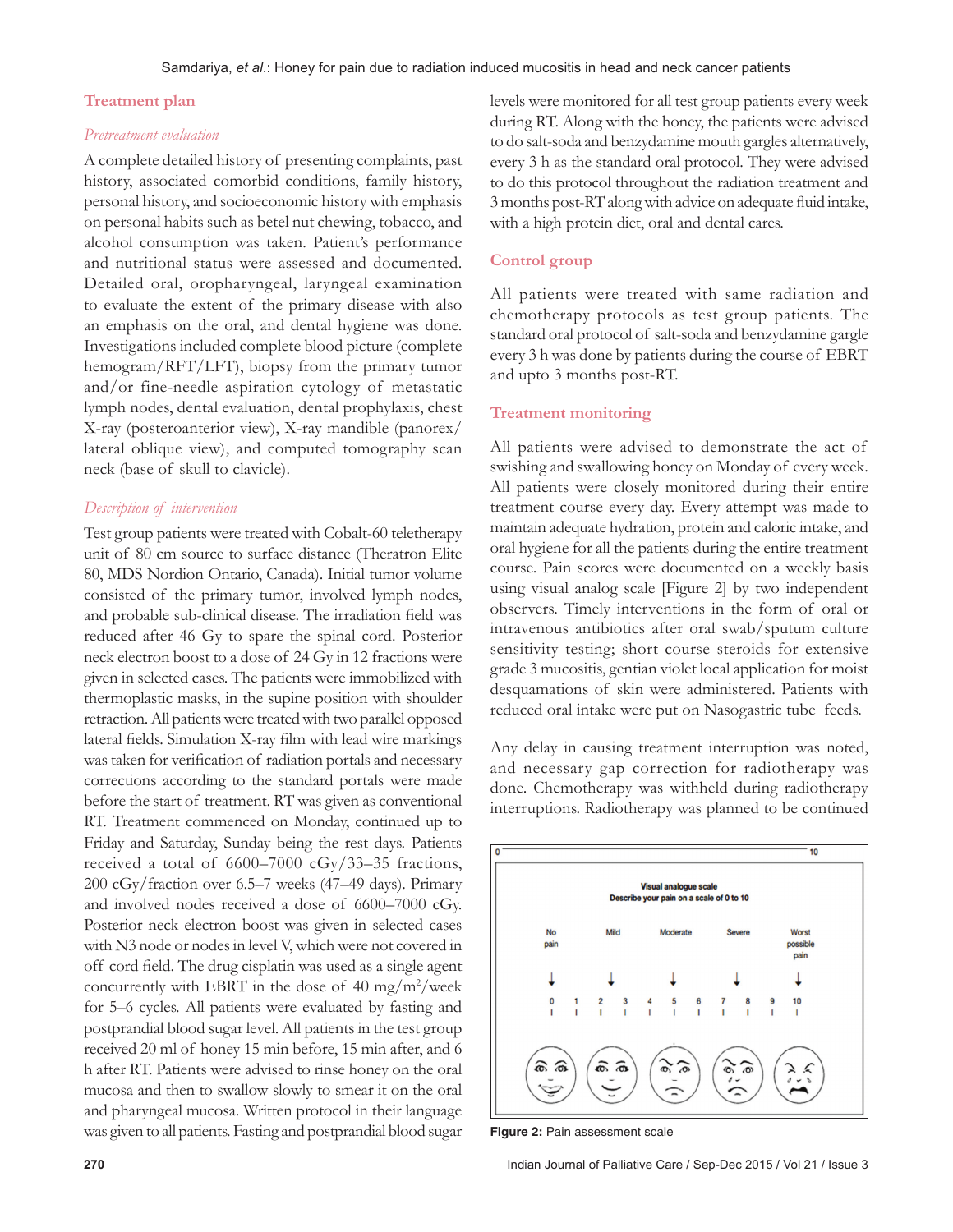## **Treatment plan**

#### *Pretreatment evaluation*

A complete detailed history of presenting complaints, past history, associated comorbid conditions, family history, personal history, and socioeconomic history with emphasis on personal habits such as betel nut chewing, tobacco, and alcohol consumption was taken. Patient's performance and nutritional status were assessed and documented. Detailed oral, oropharyngeal, laryngeal examination to evaluate the extent of the primary disease with also an emphasis on the oral, and dental hygiene was done. Investigations included complete blood picture (complete hemogram/RFT/LFT), biopsy from the primary tumor and/or fine‑needle aspiration cytology of metastatic lymph nodes, dental evaluation, dental prophylaxis, chest X‑ray (posteroanterior view), X‑ray mandible (panorex/ lateral oblique view), and computed tomography scan neck (base of skull to clavicle).

## *Description of intervention*

Test group patients were treated with Cobalt-60 teletherapy unit of 80 cm source to surface distance (Theratron Elite 80, MDS Nordion Ontario, Canada). Initial tumor volume consisted of the primary tumor, involved lymph nodes, and probable sub‑clinical disease. The irradiation field was reduced after 46 Gy to spare the spinal cord. Posterior neck electron boost to a dose of 24 Gy in 12 fractions were given in selected cases. The patients were immobilized with thermoplastic masks, in the supine position with shoulder retraction. All patients were treated with two parallel opposed lateral fields. Simulation X‑ray film with lead wire markings was taken for verification of radiation portals and necessary corrections according to the standard portals were made before the start of treatment. RT was given as conventional RT. Treatment commenced on Monday, continued up to Friday and Saturday, Sunday being the rest days. Patients received a total of 6600–7000 cGy/33–35 fractions, 200 cGy/fraction over 6.5–7 weeks (47–49 days). Primary and involved nodes received a dose of 6600–7000 cGy. Posterior neck electron boost was given in selected cases with N3 node or nodes in level V, which were not covered in off cord field. The drug cisplatin was used as a single agent concurrently with EBRT in the dose of  $40 \text{ mg/m}^2/\text{week}$ for 5–6 cycles. All patients were evaluated by fasting and postprandial blood sugar level. All patients in the test group received 20 ml of honey 15 min before, 15 min after, and 6 h after RT. Patients were advised to rinse honey on the oral mucosa and then to swallow slowly to smear it on the oral and pharyngeal mucosa. Written protocol in their language was given to all patients. Fasting and postprandial blood sugar

levels were monitored for all test group patients every week during RT. Along with the honey, the patients were advised to do salt‑soda and benzydamine mouth gargles alternatively, every 3 h as the standard oral protocol. They were advised to do this protocol throughout the radiation treatment and 3months post‑RT along with advice on adequate fluid intake, with a high protein diet, oral and dental cares.

## **Control group**

All patients were treated with same radiation and chemotherapy protocols as test group patients. The standard oral protocol of salt‑soda and benzydamine gargle every 3 h was done by patients during the course of EBRT and upto 3 months post‑RT.

## **Treatment monitoring**

All patients were advised to demonstrate the act of swishing and swallowing honey on Monday of every week. All patients were closely monitored during their entire treatment course every day. Every attempt was made to maintain adequate hydration, protein and caloric intake, and oral hygiene for all the patients during the entire treatment course. Pain scores were documented on a weekly basis using visual analog scale [Figure 2] by two independent observers. Timely interventions in the form of oral or intravenous antibiotics after oral swab/sputum culture sensitivity testing; short course steroids for extensive grade 3 mucositis, gentian violet local application for moist desquamations of skin were administered. Patients with reduced oral intake were put on Nasogastric tube feeds.

Any delay in causing treatment interruption was noted, and necessary gap correction for radiotherapy was done. Chemotherapy was withheld during radiotherapy interruptions. Radiotherapy was planned to be continued



**Figure 2:** Pain assessment scale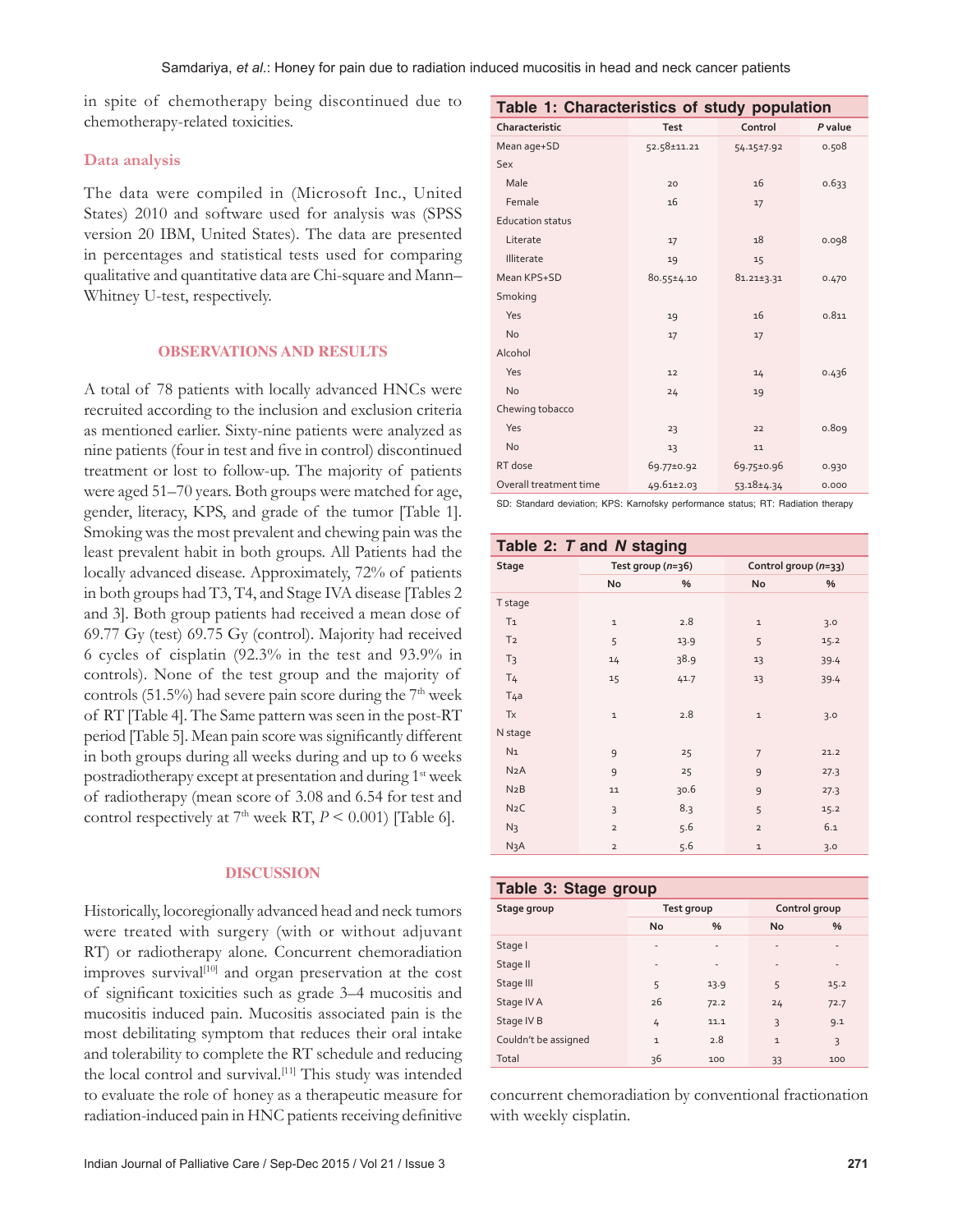in spite of chemotherapy being discontinued due to chemotherapy‑related toxicities.

### **Data analysis**

The data were compiled in (Microsoft Inc., United States) 2010 and software used for analysis was (SPSS version 20 IBM, United States). The data are presented in percentages and statistical tests used for comparing qualitative and quantitative data are Chi‑square and Mann– Whitney U-test, respectively.

## **OBSERVATIONS AND RESULTS**

A total of 78 patients with locally advanced HNCs were recruited according to the inclusion and exclusion criteria as mentioned earlier. Sixty‑nine patients were analyzed as nine patients (four in test and five in control) discontinued treatment or lost to follow‑up. The majority of patients were aged 51–70 years. Both groups were matched for age, gender, literacy, KPS, and grade of the tumor [Table 1]. Smoking was the most prevalent and chewing pain was the least prevalent habit in both groups. All Patients had the locally advanced disease. Approximately, 72% of patients in both groups had T3, T4, and Stage IVA disease [Tables 2 and 3]. Both group patients had received a mean dose of 69.77 Gy (test) 69.75 Gy (control). Majority had received 6 cycles of cisplatin (92.3% in the test and 93.9% in controls). None of the test group and the majority of controls (51.5%) had severe pain score during the  $7<sup>th</sup>$  week of RT [Table 4]. The Same pattern was seen in the post‑RT period [Table 5]. Mean pain score was significantly different in both groups during all weeks during and up to 6 weeks postradiotherapy except at presentation and during 1st week of radiotherapy (mean score of 3.08 and 6.54 for test and control respectively at  $7<sup>th</sup>$  week RT,  $P < 0.001$ ) [Table 6].

## **DISCUSSION**

Historically, locoregionally advanced head and neck tumors were treated with surgery (with or without adjuvant RT) or radiotherapy alone. Concurrent chemoradiation improves survival<sup>[10]</sup> and organ preservation at the cost of significant toxicities such as grade 3–4 mucositis and mucositis induced pain. Mucositis associated pain is the most debilitating symptom that reduces their oral intake and tolerability to complete the RT schedule and reducing the local control and survival.<sup>[11]</sup> This study was intended to evaluate the role of honey as a therapeutic measure for radiation-induced pain in HNC patients receiving definitive

| Characteristic<br>Control<br>P value<br><b>Test</b>                     |  |
|-------------------------------------------------------------------------|--|
|                                                                         |  |
| Mean age+SD<br>52.58±11.21<br>0.508<br>54.15±7.92                       |  |
| Sex                                                                     |  |
| Male<br>16<br>0.633<br>20                                               |  |
| Female<br>16<br>17                                                      |  |
| <b>Education status</b>                                                 |  |
| Literate<br>18<br>0.098<br>17                                           |  |
| Illiterate<br>19<br>15                                                  |  |
| Mean KPS+SD<br>$80.55 \pm 4.10$<br>$81.21 \pm 3.31$<br>0.470            |  |
| Smoking                                                                 |  |
| Yes<br>0.811<br>16<br>19                                                |  |
| <b>No</b><br>17<br>17                                                   |  |
| Alcohol                                                                 |  |
| Yes<br>0.436<br>12<br>14                                                |  |
| No<br>19<br>24                                                          |  |
| Chewing tobacco                                                         |  |
| Yes<br>0.809<br>23<br>22                                                |  |
| <b>No</b><br>11<br>13                                                   |  |
| RT dose<br>69.77±0.92<br>69.75±0.96<br>0.930                            |  |
| Overall treatment time<br>$49.61 \pm 2.03$<br>$53.18 \pm 4.34$<br>0.000 |  |

SD: Standard deviation; KPS: Karnofsky performance status; RT: Radiation therapy

| Table 2: T and N staging |                |                     |                      |      |  |
|--------------------------|----------------|---------------------|----------------------|------|--|
| <b>Stage</b>             |                | Test group $(n=36)$ | Control group (n=33) |      |  |
|                          | No             | %                   | No                   | %    |  |
| T stage                  |                |                     |                      |      |  |
| T <sub>1</sub>           | $\mathbf 1$    | 2.8                 | $\mathbf 1$          | 3.0  |  |
| T <sub>2</sub>           | 5              | 13.9                | 5                    | 15.2 |  |
| T <sub>3</sub>           | 14             | 38.9                | 13                   | 39.4 |  |
| T <sub>4</sub>           | 15             | 41.7                | 13                   | 39.4 |  |
| T <sub>4a</sub>          |                |                     |                      |      |  |
| <b>Tx</b>                | $\mathbf 1$    | 2.8                 | $\mathbf 1$          | 3.0  |  |
| N stage                  |                |                     |                      |      |  |
| N <sub>1</sub>           | 9              | 25                  | $\overline{7}$       | 21.2 |  |
| N2A                      | 9              | 25                  | 9                    | 27.3 |  |
| N2B                      | 11             | 30.6                | 9                    | 27.3 |  |
| N <sub>2</sub> C         | 3              | 8.3                 | 5                    | 15.2 |  |
| $N_3$                    | $\overline{2}$ | 5.6                 | $\overline{2}$       | 6.1  |  |
| N3A                      | $\overline{2}$ | 5.6                 | $\mathbf 1$          | 3.0  |  |

## **Table 3: Stage group**

| Stage group          |                          | Test group | Control group            |                          |
|----------------------|--------------------------|------------|--------------------------|--------------------------|
|                      | No                       | $\%$       | No                       | %                        |
| Stage I              | ٠                        | ٠          | $\overline{\phantom{a}}$ | $\overline{\phantom{a}}$ |
| Stage II             | $\overline{\phantom{a}}$ | -          | $\overline{\phantom{a}}$ | $\overline{\phantom{a}}$ |
| Stage III            | 5                        | 13.9       | 5                        | 15.2                     |
| Stage IV A           | 26                       | 72.2       | 24                       | 72.7                     |
| Stage IV B           | 4                        | 11.1       | $\overline{\mathcal{L}}$ | 9.1                      |
| Couldn't be assigned | $\mathbf{1}$             | 2.8        | $\mathbf{1}$             | 3                        |
| Total                | 36                       | 100        | 33                       | 100                      |

concurrent chemoradiation by conventional fractionation with weekly cisplatin.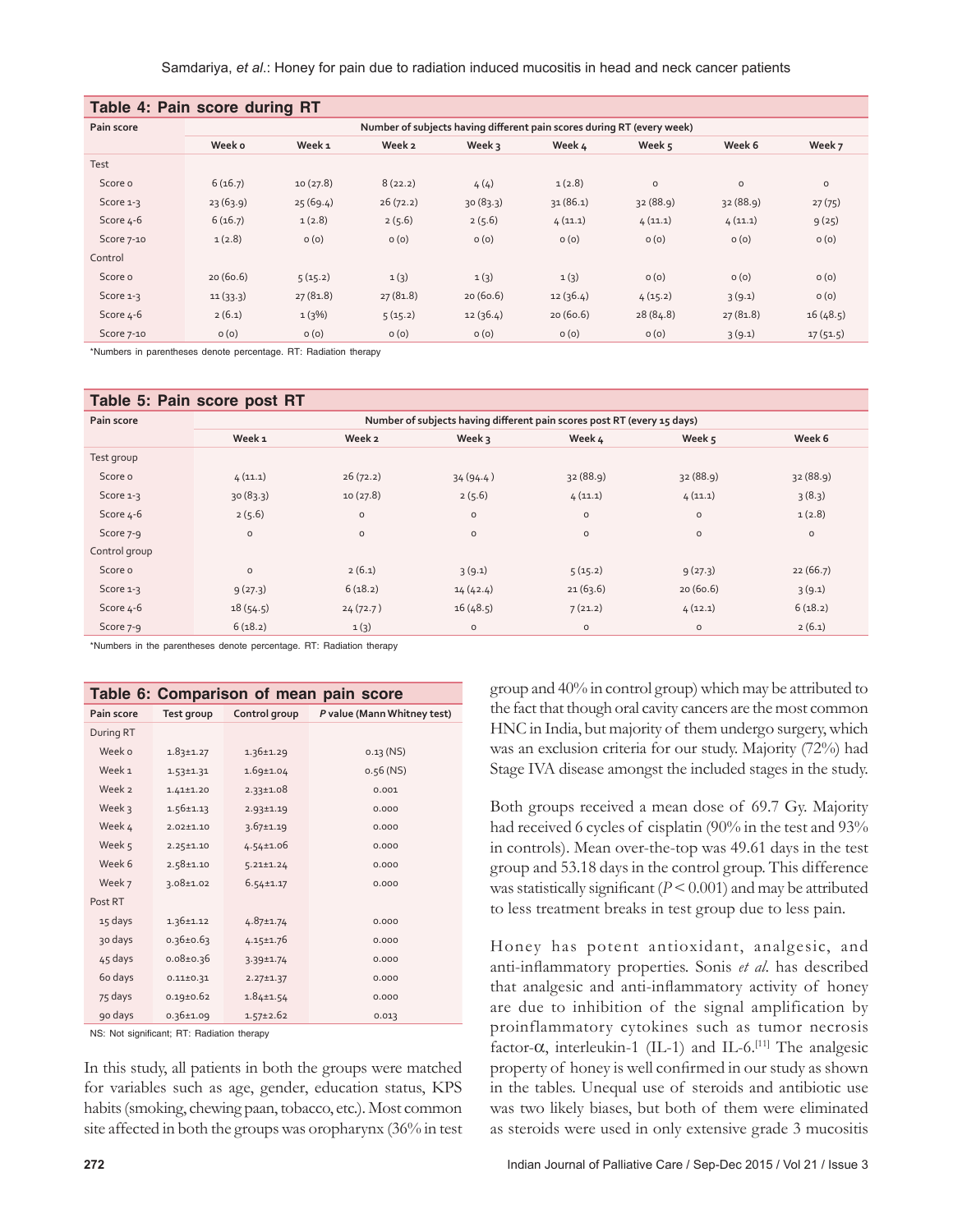| Table 4: Pain score during RT |                                                                        |                   |          |          |          |          |          |          |  |
|-------------------------------|------------------------------------------------------------------------|-------------------|----------|----------|----------|----------|----------|----------|--|
| Pain score                    | Number of subjects having different pain scores during RT (every week) |                   |          |          |          |          |          |          |  |
|                               | Week o                                                                 | Week <sub>1</sub> | Week 2   | Week 3   | Week 4   | Week $5$ | Week 6   | Week 7   |  |
| Test                          |                                                                        |                   |          |          |          |          |          |          |  |
| Score o                       | 6(16.7)                                                                | 10(27.8)          | 8(22.2)  | 4(4)     | 1(2.8)   | $\circ$  | $\circ$  | $\circ$  |  |
| Score 1-3                     | 23(63.9)                                                               | 25(69.4)          | 26(72.2) | 30(83.3) | 31(86.1) | 32(88.9) | 32(88.9) | 27(75)   |  |
| Score 4-6                     | 6(16.7)                                                                | 1(2.8)            | 2(5.6)   | 2(5.6)   | 4(11.1)  | 4(11.1)  | 4(11.1)  | 9(25)    |  |
| Score 7-10                    | 1(2.8)                                                                 | O(0)              | O(0)     | O(0)     | O(0)     | O(0)     | O(0)     | O(0)     |  |
| Control                       |                                                                        |                   |          |          |          |          |          |          |  |
| Score o                       | 20(60.6)                                                               | 5(15.2)           | 1(3)     | 1(3)     | 1(3)     | O(0)     | O(0)     | O(0)     |  |
| Score 1-3                     | 11(33.3)                                                               | 27(81.8)          | 27(81.8) | 20(60.6) | 12(36.4) | 4(15.2)  | 3(9.1)   | O(0)     |  |
| Score 4-6                     | 2(6.1)                                                                 | 1(3%)             | 5(15.2)  | 12(36.4) | 20(60.6) | 28(84.8) | 27(81.8) | 16(48.5) |  |
| Score 7-10                    | O(0)                                                                   | O(0)              | O(0)     | O(0)     | O(0)     | O(0)     | 3(9.1)   | 17(51.5) |  |

\*Numbers in parentheses denote percentage. RT: Radiation therapy

| Table 5: Pain score post RT |                                                                         |              |          |             |          |          |  |  |
|-----------------------------|-------------------------------------------------------------------------|--------------|----------|-------------|----------|----------|--|--|
| Pain score                  | Number of subjects having different pain scores post RT (every 15 days) |              |          |             |          |          |  |  |
|                             | Week <sub>1</sub>                                                       | Week 2       | Week 3   | Week 4      | Week 5   | Week 6   |  |  |
| Test group                  |                                                                         |              |          |             |          |          |  |  |
| Score o                     | 4(11.1)                                                                 | 26(72.2)     | 34(94.4) | 32(88.9)    | 32(88.9) | 32(88.9) |  |  |
| Score 1-3                   | 30(83.3)                                                                | 10(27.8)     | 2(5.6)   | 4(11.1)     | 4(11.1)  | 3(8.3)   |  |  |
| Score 4-6                   | 2(5.6)                                                                  | $\circ$      | $\circ$  | $\mathsf O$ | $\circ$  | 1(2.8)   |  |  |
| Score 7-9                   | $\circ$                                                                 | $\mathsf{o}$ | $\circ$  | $\mathsf O$ | $\circ$  | $\circ$  |  |  |
| Control group               |                                                                         |              |          |             |          |          |  |  |
| Score o                     | $\circ$                                                                 | 2(6.1)       | 3(9.1)   | 5(15.2)     | 9(27.3)  | 22(66.7) |  |  |
| Score 1-3                   | 9(27.3)                                                                 | 6(18.2)      | 14(42.4) | 21(63.6)    | 20(60.6) | 3(9.1)   |  |  |
| Score 4-6                   | 18(54.5)                                                                | 24(72.7)     | 16(48.5) | 7(21.2)     | 4(12.1)  | 6(18.2)  |  |  |
| Score 7-9                   | 6(18.2)                                                                 | 1(3)         | $\circ$  | O           | $\circ$  | 2(6.1)   |  |  |

\*Numbers in the parentheses denote percentage. RT: Radiation therapy

| Table 6: Comparison of mean pain score |                 |                 |                             |  |  |
|----------------------------------------|-----------------|-----------------|-----------------------------|--|--|
| Pain score                             | Test group      | Control group   | P value (Mann Whitney test) |  |  |
| During RT                              |                 |                 |                             |  |  |
| Week o                                 | $1.83 \pm 1.27$ | $1.36 \pm 1.29$ | $0.13$ (NS)                 |  |  |
| Week <sub>1</sub>                      | $1.53 \pm 1.31$ | $1.69 \pm 1.04$ | $0.56$ (NS)                 |  |  |
| Week 2                                 | $1.41 \pm 1.20$ | $2.33 \pm 1.08$ | 0.001                       |  |  |
| Week 3                                 | $1.56 \pm 1.13$ | $2.93 \pm 1.19$ | 0.000                       |  |  |
| Week 4                                 | $2.02 \pm 1.10$ | $3.67 \pm 1.19$ | 0.000                       |  |  |
| Week 5                                 | $2.25 \pm 1.10$ | $4.54 \pm 1.06$ | 0.000                       |  |  |
| Week 6                                 | $2.58 \pm 1.10$ | $5.21 \pm 1.24$ | 0.000                       |  |  |
| Week 7                                 | $3.08 \pm 1.02$ | $6.54 \pm 1.17$ | 0.000                       |  |  |
| Post RT                                |                 |                 |                             |  |  |
| 15 days                                | $1.36 \pm 1.12$ | $4.87 \pm 1.74$ | 0.000                       |  |  |
| 30 days                                | $0.36 \pm 0.63$ | $4.15 \pm 1.76$ | 0.000                       |  |  |
| 45 days                                | $0.08 \pm 0.36$ | 3.39±1.74       | 0.000                       |  |  |
| 6o days                                | $0.11 \pm 0.31$ | $2.27 \pm 1.37$ | 0.000                       |  |  |
| 75 days                                | $0.19 \pm 0.62$ | $1.84 \pm 1.54$ | 0.000                       |  |  |
| 90 days                                | $0.36 \pm 1.09$ | $1.57 \pm 2.62$ | 0.013                       |  |  |

NS: Not significant; RT: Radiation therapy

In this study, all patients in both the groups were matched for variables such as age, gender, education status, KPS habits(smoking, chewing paan, tobacco, etc.). Most common site affected in both the groups was oropharynx (36% in test group and 40% in control group) which may be attributed to the fact that though oral cavity cancers are the most common HNC in India, but majority of them undergo surgery, which was an exclusion criteria for our study. Majority (72%) had Stage IVA disease amongst the included stages in the study.

Both groups received a mean dose of 69.7 Gy. Majority had received 6 cycles of cisplatin (90% in the test and 93% in controls). Mean over-the-top was 49.61 days in the test group and 53.18 days in the control group. This difference was statistically significant  $(P < 0.001)$  and may be attributed to less treatment breaks in test group due to less pain.

Honey has potent antioxidant, analgesic, and anti‑inflammatory properties. Sonis *et al*. has described that analgesic and anti-inflammatory activity of honey are due to inhibition of the signal amplification by proinflammatory cytokines such as tumor necrosis factor‑α, interleukin‑1 (IL‑1) and IL‑6.[11] The analgesic property of honey is well confirmed in our study as shown in the tables. Unequal use of steroids and antibiotic use was two likely biases, but both of them were eliminated as steroids were used in only extensive grade 3 mucositis